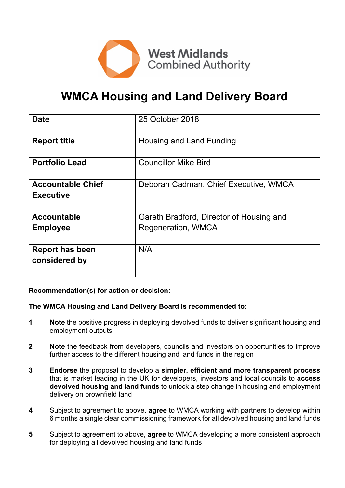

# **WMCA Housing and Land Delivery Board**

| <b>Date</b>                                  | 25 October 2018                          |  |  |
|----------------------------------------------|------------------------------------------|--|--|
| <b>Report title</b>                          | Housing and Land Funding                 |  |  |
| <b>Portfolio Lead</b>                        | <b>Councillor Mike Bird</b>              |  |  |
| <b>Accountable Chief</b><br><b>Executive</b> | Deborah Cadman, Chief Executive, WMCA    |  |  |
| <b>Accountable</b>                           | Gareth Bradford, Director of Housing and |  |  |
| <b>Employee</b>                              | Regeneration, WMCA                       |  |  |
| <b>Report has been</b><br>considered by      | N/A                                      |  |  |

# **Recommendation(s) for action or decision:**

#### **The WMCA Housing and Land Delivery Board is recommended to:**

- **1 Note** the positive progress in deploying devolved funds to deliver significant housing and employment outputs
- **2 Note** the feedback from developers, councils and investors on opportunities to improve further access to the different housing and land funds in the region
- **3 Endorse** the proposal to develop a **simpler, efficient and more transparent process** that is market leading in the UK for developers, investors and local councils to **access devolved housing and land funds** to unlock a step change in housing and employment delivery on brownfield land
- **4** Subject to agreement to above, **agree** to WMCA working with partners to develop within 6 months a single clear commissioning framework for all devolved housing and land funds
- **5** Subject to agreement to above, **agree** to WMCA developing a more consistent approach for deploying all devolved housing and land funds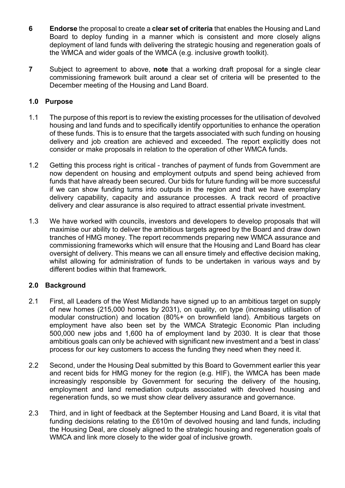- **6 Endorse** the proposal to create a **clear set of criteria** that enables the Housing and Land Board to deploy funding in a manner which is consistent and more closely aligns deployment of land funds with delivering the strategic housing and regeneration goals of the WMCA and wider goals of the WMCA (e.g. inclusive growth toolkit).
- **7** Subject to agreement to above, **note** that a working draft proposal for a single clear commissioning framework built around a clear set of criteria will be presented to the December meeting of the Housing and Land Board.

#### **1.0 Purpose**

- 1.1 The purpose of this report is to review the existing processes for the utilisation of devolved housing and land funds and to specifically identify opportunities to enhance the operation of these funds. This is to ensure that the targets associated with such funding on housing delivery and job creation are achieved and exceeded. The report explicitly does not consider or make proposals in relation to the operation of other WMCA funds.
- 1.2 Getting this process right is critical tranches of payment of funds from Government are now dependent on housing and employment outputs and spend being achieved from funds that have already been secured. Our bids for future funding will be more successful if we can show funding turns into outputs in the region and that we have exemplary delivery capability, capacity and assurance processes. A track record of proactive delivery and clear assurance is also required to attract essential private investment.
- 1.3 We have worked with councils, investors and developers to develop proposals that will maximise our ability to deliver the ambitious targets agreed by the Board and draw down tranches of HMG money. The report recommends preparing new WMCA assurance and commissioning frameworks which will ensure that the Housing and Land Board has clear oversight of delivery. This means we can all ensure timely and effective decision making, whilst allowing for administration of funds to be undertaken in various ways and by different bodies within that framework.

# **2.0 Background**

- 2.1 First, all Leaders of the West Midlands have signed up to an ambitious target on supply of new homes (215,000 homes by 2031), on quality, on type (increasing utilisation of modular construction) and location (80%+ on brownfield land). Ambitious targets on employment have also been set by the WMCA Strategic Economic Plan including 500,000 new jobs and 1,600 ha of employment land by 2030. It is clear that those ambitious goals can only be achieved with significant new investment and a 'best in class' process for our key customers to access the funding they need when they need it.
- 2.2 Second, under the Housing Deal submitted by this Board to Government earlier this year and recent bids for HMG money for the region (e.g. HIF), the WMCA has been made increasingly responsible by Government for securing the delivery of the housing, employment and land remediation outputs associated with devolved housing and regeneration funds, so we must show clear delivery assurance and governance.
- 2.3 Third, and in light of feedback at the September Housing and Land Board, it is vital that funding decisions relating to the £610m of devolved housing and land funds, including the Housing Deal, are closely aligned to the strategic housing and regeneration goals of WMCA and link more closely to the wider goal of inclusive growth.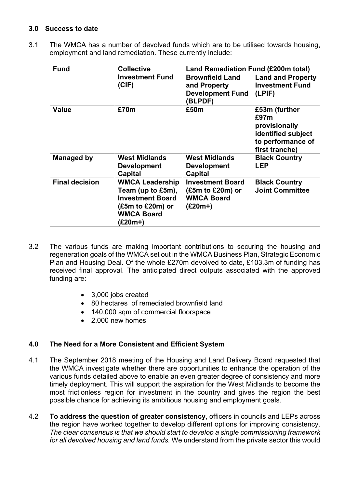# **3.0 Success to date**

3.1 The WMCA has a number of devolved funds which are to be utilised towards housing, employment and land remediation. These currently include:

| <b>Fund</b>           | <b>Collective</b>                                                                                                           | <b>Land Remediation Fund (£200m total)</b>                                         |                                                                                                     |
|-----------------------|-----------------------------------------------------------------------------------------------------------------------------|------------------------------------------------------------------------------------|-----------------------------------------------------------------------------------------------------|
|                       | <b>Investment Fund</b><br>(CIF)                                                                                             | <b>Brownfield Land</b><br>and Property<br><b>Development Fund</b><br><b>BLPDF)</b> | <b>Land and Property</b><br><b>Investment Fund</b><br>(LPIF)                                        |
| <b>Value</b>          | £70m                                                                                                                        | £50m                                                                               | £53m (further<br>£97m<br>provisionally<br>identified subject<br>to performance of<br>first tranche) |
| <b>Managed by</b>     | <b>West Midlands</b><br><b>Development</b><br>Capital                                                                       | <b>West Midlands</b><br><b>Development</b><br><b>Capital</b>                       | <b>Black Country</b><br><b>LEP</b>                                                                  |
| <b>Final decision</b> | <b>WMCA Leadership</b><br>Team (up to £5m),<br><b>Investment Board</b><br>$(£5m to £20m)$ or<br><b>WMCA Board</b><br>(£20m+ | <b>Investment Board</b><br>$(£5m to £20m)$ or<br><b>WMCA Board</b><br>$(E20m+)$    | <b>Black Country</b><br><b>Joint Committee</b>                                                      |

- 3.2 The various funds are making important contributions to securing the housing and regeneration goals of the WMCA set out in the WMCA Business Plan, Strategic Economic Plan and Housing Deal. Of the whole £270m devolved to date, £103.3m of funding has received final approval. The anticipated direct outputs associated with the approved funding are:
	- 3,000 jobs created
	- 80 hectares of remediated brownfield land
	- 140,000 sqm of commercial floorspace
	- 2,000 new homes

# **4.0 The Need for a More Consistent and Efficient System**

- 4.1 The September 2018 meeting of the Housing and Land Delivery Board requested that the WMCA investigate whether there are opportunities to enhance the operation of the various funds detailed above to enable an even greater degree of consistency and more timely deployment. This will support the aspiration for the West Midlands to become the most frictionless region for investment in the country and gives the region the best possible chance for achieving its ambitious housing and employment goals.
- 4.2 **To address the question of greater consistency**, officers in councils and LEPs across the region have worked together to develop different options for improving consistency. *The clear consensus is that we should start to develop a single commissioning framework for all devolved housing and land funds.* We understand from the private sector this would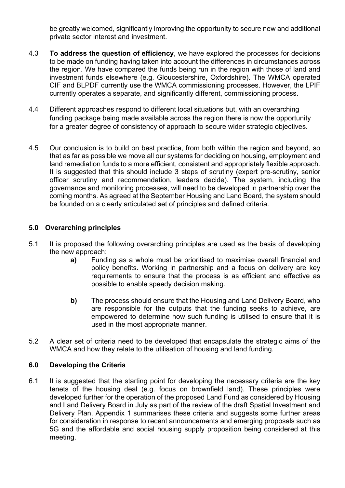be greatly welcomed, significantly improving the opportunity to secure new and additional private sector interest and investment.

- 4.3 **To address the question of efficiency**, we have explored the processes for decisions to be made on funding having taken into account the differences in circumstances across the region. We have compared the funds being run in the region with those of land and investment funds elsewhere (e.g. Gloucestershire, Oxfordshire). The WMCA operated CIF and BLPDF currently use the WMCA commissioning processes. However, the LPIF currently operates a separate, and significantly different, commissioning process.
- 4.4 Different approaches respond to different local situations but, with an overarching funding package being made available across the region there is now the opportunity for a greater degree of consistency of approach to secure wider strategic objectives.
- 4.5 Our conclusion is to build on best practice, from both within the region and beyond, so that as far as possible we move all our systems for deciding on housing, employment and land remediation funds to a more efficient, consistent and appropriately flexible approach. It is suggested that this should include 3 steps of scrutiny (expert pre-scrutiny, senior officer scrutiny and recommendation, leaders decide). The system, including the governance and monitoring processes, will need to be developed in partnership over the coming months. As agreed at the September Housing and Land Board, the system should be founded on a clearly articulated set of principles and defined criteria.

#### **5.0 Overarching principles**

- 5.1 It is proposed the following overarching principles are used as the basis of developing the new approach:
	- **a)** Funding as a whole must be prioritised to maximise overall financial and policy benefits. Working in partnership and a focus on delivery are key requirements to ensure that the process is as efficient and effective as possible to enable speedy decision making.
	- **b)** The process should ensure that the Housing and Land Delivery Board, who are responsible for the outputs that the funding seeks to achieve, are empowered to determine how such funding is utilised to ensure that it is used in the most appropriate manner.
- 5.2 A clear set of criteria need to be developed that encapsulate the strategic aims of the WMCA and how they relate to the utilisation of housing and land funding.

#### **6.0 Developing the Criteria**

6.1 It is suggested that the starting point for developing the necessary criteria are the key tenets of the housing deal (e.g. focus on brownfield land). These principles were developed further for the operation of the proposed Land Fund as considered by Housing and Land Delivery Board in July as part of the review of the draft Spatial Investment and Delivery Plan. Appendix 1 summarises these criteria and suggests some further areas for consideration in response to recent announcements and emerging proposals such as 5G and the affordable and social housing supply proposition being considered at this meeting.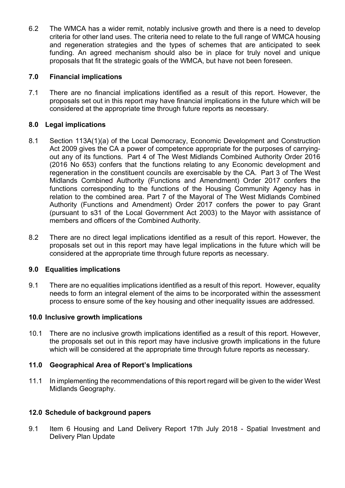6.2 The WMCA has a wider remit, notably inclusive growth and there is a need to develop criteria for other land uses. The criteria need to relate to the full range of WMCA housing and regeneration strategies and the types of schemes that are anticipated to seek funding. An agreed mechanism should also be in place for truly novel and unique proposals that fit the strategic goals of the WMCA, but have not been foreseen.

#### **7.0 Financial implications**

7.1 There are no financial implications identified as a result of this report. However, the proposals set out in this report may have financial implications in the future which will be considered at the appropriate time through future reports as necessary.

#### **8.0 Legal implications**

- 8.1 Section 113A(1)(a) of the Local Democracy, Economic Development and Construction Act 2009 gives the CA a power of competence appropriate for the purposes of carryingout any of its functions. Part 4 of The West Midlands Combined Authority Order 2016 (2016 No 653) confers that the functions relating to any Economic development and regeneration in the constituent councils are exercisable by the CA. Part 3 of The West Midlands Combined Authority (Functions and Amendment) Order 2017 confers the functions corresponding to the functions of the Housing Community Agency has in relation to the combined area. Part 7 of the Mayoral of The West Midlands Combined Authority (Functions and Amendment) Order 2017 confers the power to pay Grant (pursuant to s31 of the Local Government Act 2003) to the Mayor with assistance of members and officers of the Combined Authority.
- 8.2 There are no direct legal implications identified as a result of this report. However, the proposals set out in this report may have legal implications in the future which will be considered at the appropriate time through future reports as necessary.

#### **9.0 Equalities implications**

9.1 There are no equalities implications identified as a result of this report. However, equality needs to form an integral element of the aims to be incorporated within the assessment process to ensure some of the key housing and other inequality issues are addressed.

#### **10.0 Inclusive growth implications**

10.1 There are no inclusive growth implications identified as a result of this report. However, the proposals set out in this report may have inclusive growth implications in the future which will be considered at the appropriate time through future reports as necessary.

#### **11.0 Geographical Area of Report's Implications**

11.1 In implementing the recommendations of this report regard will be given to the wider West Midlands Geography.

#### **12.0 Schedule of background papers**

9.1 Item 6 Housing and Land Delivery Report 17th July 2018 - Spatial Investment and Delivery Plan Update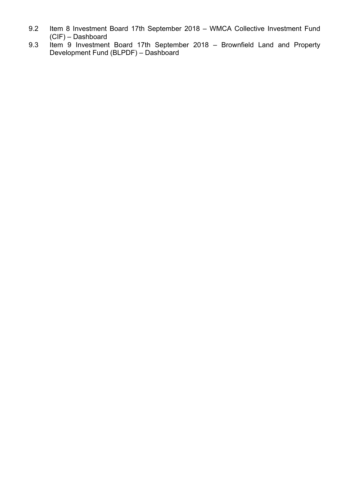- 9.2 Item 8 Investment Board 17th September 2018 WMCA Collective Investment Fund (CIF) – Dashboard
- 9.3 Item 9 Investment Board 17th September 2018 Brownfield Land and Property Development Fund (BLPDF) – Dashboard